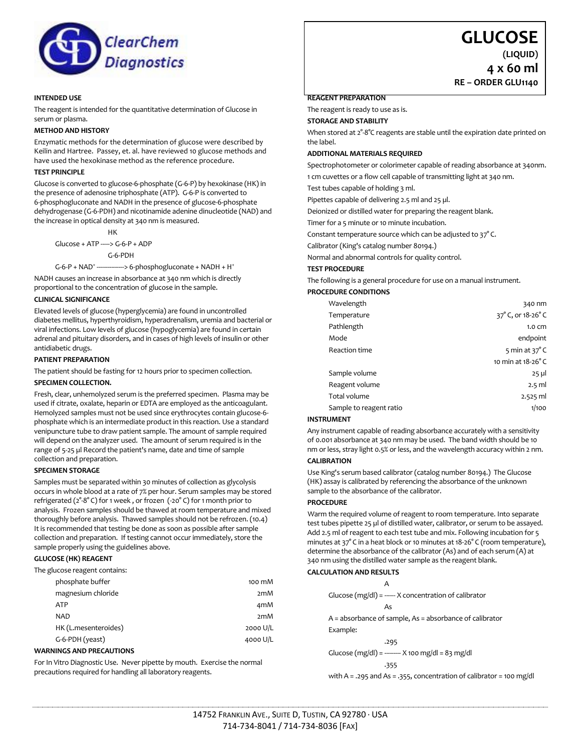

### **INTENDED USE**

The reagent is intended for the quantitative determination of Glucose in serum or plasma.

# **METHOD AND HISTORY**

Enzymatic methods for the determination of glucose were described by Keilin and Hartree. Passey, et. al. have reviewed 10 glucose methods and have used the hexokinase method as the reference procedure.

# **TEST PRINCIPLE**

Glucose is converted to glucose-6-phosphate (G-6-P) by hexokinase (HK) in the presence of adenosine triphosphate (ATP). G-6-P is converted to 6-phosphogluconate and NADH in the presence of glucose-6-phosphate dehydrogenase (G-6-PDH) and nicotinamide adenine dinucleotide (NAD) and the increase in optical density at 340 nm is measured.

HK Glucose + ATP -----> G-6-P + ADP G-6-PDH

 $G - 6 - P + NAD^+ -$ ---> 6-phosphogluconate + NADH + H<sup>+</sup>

NADH causes an increase in absorbance at 340 nm which is directly proportional to the concentration of glucose in the sample.

## **CLINICAL SIGNIFICANCE**

Elevated levels of glucose (hyperglycemia) are found in uncontrolled diabetes mellitus, hyperthyroidism, hyperadrenalism, uremia and bacterial or viral infections. Low levels of glucose (hypoglycemia) are found in certain adrenal and pituitary disorders, and in cases of high levels of insulin or other antidiabetic drugs.

#### **PATIENT PREPARATION**

The patient should be fasting for 12 hours prior to specimen collection.

#### **SPECIMEN COLLECTION.**

Fresh, clear, unhemolyzed serum is the preferred specimen. Plasma may be used if citrate, oxalate, heparin or EDTA are employed as the anticoagulant. Hemolyzed samples must not be used since erythrocytes contain glucose-6 phosphate which is an intermediate product in this reaction. Use a standard venipuncture tube to draw patient sample. The amount of sample required will depend on the analyzer used. The amount of serum required is in the range of 5-25 µl Record the patient's name, date and time of sample collection and preparation.

# **SPECIMEN STORAGE**

Samples must be separated within 30 minutes of collection as glycolysis occurs in whole blood at a rate of 7% per hour. Serum samples may be stored refrigerated (2°-8° C) for 1 week , or frozen (-20° C) for 1 month prior to analysis. Frozen samples should be thawed at room temperature and mixed thoroughly before analysis. Thawed samples should not be refrozen. (10.4) It is recommended that testing be done as soon as possible after sample collection and preparation. If testing cannot occur immediately, store the sample properly using the guidelines above.

#### **GLUCOSE (HK) REAGENT**

The glucose reagent contains:

|            | phosphate buffer     | 100 mM   |
|------------|----------------------|----------|
|            | magnesium chloride   | 2mM      |
| <b>ATP</b> |                      | 4mM      |
| <b>NAD</b> |                      | 2mM      |
|            | HK (L.mesenteroides) | 2000 U/L |
|            | G-6-PDH (yeast)      | 4000 U/L |
|            |                      |          |

#### **WARNINGS AND PRECAUTIONS**

For In Vitro Diagnostic Use. Never pipette by mouth. Exercise the normal precautions required for handling all laboratory reagents.

# **GLUCOSE**

**(LIQUID) 4 x 60 ml**

**RE – ORDER GLU1140**

#### **REAGENT PREPARATION**

The reagent is ready to use as is.

**STORAGE AND STABILITY**

When stored at  $2^\circ-8^\circ$ C reagents are stable until the expiration date printed on the label.

#### **ADDITIONAL MATERIALS REQUIRED**

Spectrophotometer or colorimeter capable of reading absorbance at 340nm.

1 cm cuvettes or a flow cell capable of transmitting light at 340 nm.

Test tubes capable of holding 3 ml.

Pipettes capable of delivering 2.5 ml and 25 µl.

Deionized or distilled water for preparing the reagent blank.

Timer for a 5 minute or 10 minute incubation.

Constant temperature source which can be adjusted to 37° C.

Calibrator (King's catalog number 80194.)

Normal and abnormal controls for quality control.

#### **TEST PROCEDURE**

The following is a general procedure for use on a manual instrument.

# **PROCEDURE CONDITIONS**

| Wavelength              | 340 nm                |
|-------------------------|-----------------------|
| Temperature             | 37° C, or 18-26° C    |
| Pathlength              | $1.0 \text{ cm}$      |
| Mode                    | endpoint              |
| Reaction time           | 5 min at $37^\circ$ C |
|                         | 10 min at 18-26°C     |
| Sample volume           | $25 \mu$              |
| Reagent volume          | $2.5$ ml              |
| Total volume            | $2.525$ ml            |
| Sample to reagent ratio | 1/100                 |
|                         |                       |

#### **INSTRUMENT**

Any instrument capable of reading absorbance accurately with a sensitivity of 0.001 absorbance at 340 nm may be used. The band width should be 10 nm or less, stray light 0.5% or less, and the wavelength accuracy within 2 nm.

#### **CALIBRATION**

Use King's serum based calibrator (catalog number 80194.) The Glucose (HK) assay is calibrated by referencing the absorbance of the unknown sample to the absorbance of the calibrator.

# **PROCEDURE**

Warm the required volume of reagent to room temperature. Into separate test tubes pipette 25 µl of distilled water, calibrator, or serum to be assayed. Add 2.5 ml of reagent to each test tube and mix. Following incubation for 5 minutes at 37° C in a heat block or 10 minutes at 18-26° C (room temperature), determine the absorbance of the calibrator (As) and of each serum (A) at 340 nm using the distilled water sample as the reagent blank.

# **CALCULATION AND RESULTS**

A

Glucose  $(mg/dl)$  = ----- X concentration of calibrator As

A = absorbance of sample, As = absorbance of calibrator

Example:

 .295 Glucose (mg/dl) = --------- X 100 mg/dl = 83 mg/dl

with A = .295 and As = .355, concentration of calibrator = 100 mg/dl